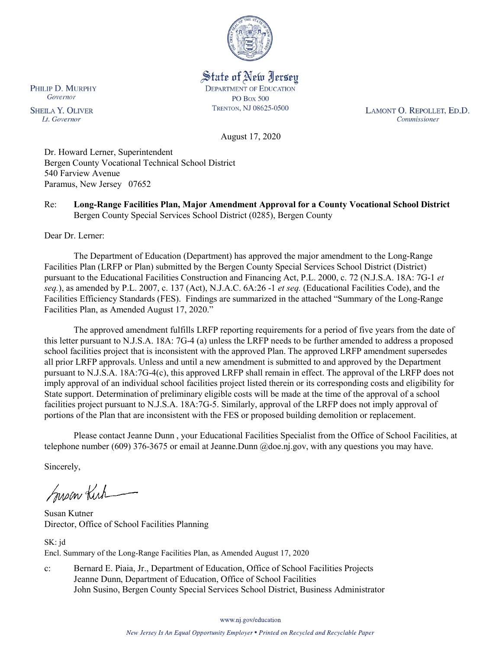

State of New Jersey **DEPARTMENT OF EDUCATION PO Box 500** TRENTON, NJ 08625-0500

LAMONT O. REPOLLET, ED.D. Commissioner

August 17, 2020

Dr. Howard Lerner, Superintendent Bergen County Vocational Technical School District 540 Farview Avenue Paramus, New Jersey 07652

Re: **Long-Range Facilities Plan, Major Amendment Approval for a County Vocational School District** Bergen County Special Services School District (0285), Bergen County

Dear Dr. Lerner:

The Department of Education (Department) has approved the major amendment to the Long-Range Facilities Plan (LRFP or Plan) submitted by the Bergen County Special Services School District (District) pursuant to the Educational Facilities Construction and Financing Act, P.L. 2000, c. 72 (N.J.S.A. 18A: 7G-1 *et seq.*), as amended by P.L. 2007, c. 137 (Act), N.J.A.C. 6A:26 -1 *et seq.* (Educational Facilities Code), and the Facilities Efficiency Standards (FES). Findings are summarized in the attached "Summary of the Long-Range Facilities Plan, as Amended August 17, 2020."

The approved amendment fulfills LRFP reporting requirements for a period of five years from the date of this letter pursuant to N.J.S.A. 18A: 7G-4 (a) unless the LRFP needs to be further amended to address a proposed school facilities project that is inconsistent with the approved Plan. The approved LRFP amendment supersedes all prior LRFP approvals. Unless and until a new amendment is submitted to and approved by the Department pursuant to N.J.S.A. 18A:7G-4(c), this approved LRFP shall remain in effect. The approval of the LRFP does not imply approval of an individual school facilities project listed therein or its corresponding costs and eligibility for State support. Determination of preliminary eligible costs will be made at the time of the approval of a school facilities project pursuant to N.J.S.A. 18A:7G-5. Similarly, approval of the LRFP does not imply approval of portions of the Plan that are inconsistent with the FES or proposed building demolition or replacement.

Please contact Jeanne Dunn , your Educational Facilities Specialist from the Office of School Facilities, at telephone number (609) 376-3675 or email at Jeanne.Dunn @doe.nj.gov, with any questions you may have.

Sincerely,

Susan Kich

Susan Kutner Director, Office of School Facilities Planning

SK: jd Encl. Summary of the Long-Range Facilities Plan, as Amended August 17, 2020

c: Bernard E. Piaia, Jr., Department of Education, Office of School Facilities Projects Jeanne Dunn, Department of Education, Office of School Facilities John Susino, Bergen County Special Services School District, Business Administrator

www.nj.gov/education

New Jersey Is An Equal Opportunity Employer . Printed on Recycled and Recyclable Paper

PHILIP D. MURPHY Governor

**SHEILA Y. OLIVER** Lt. Governor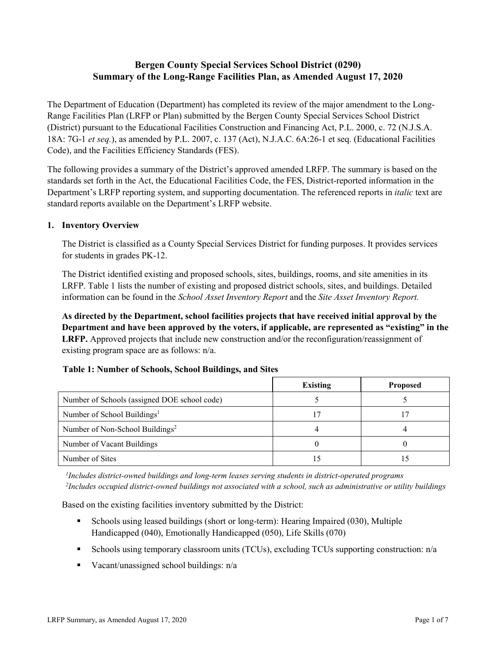# **Bergen County Special Services School District (0290) Summary of the Long-Range Facilities Plan, as Amended August 17, 2020**

The Department of Education (Department) has completed its review of the major amendment to the Long-Range Facilities Plan (LRFP or Plan) submitted by the Bergen County Special Services School District (District) pursuant to the Educational Facilities Construction and Financing Act, P.L. 2000, c. 72 (N.J.S.A. 18A: 7G-1 *et seq.*), as amended by P.L. 2007, c. 137 (Act), N.J.A.C. 6A:26-1 et seq. (Educational Facilities Code), and the Facilities Efficiency Standards (FES).

The following provides a summary of the District's approved amended LRFP. The summary is based on the standards set forth in the Act, the Educational Facilities Code, the FES, District-reported information in the Department's LRFP reporting system, and supporting documentation. The referenced reports in *italic* text are standard reports available on the Department's LRFP website.

## **1. Inventory Overview**

The District is classified as a County Special Services District for funding purposes. It provides services for students in grades PK-12.

The District identified existing and proposed schools, sites, buildings, rooms, and site amenities in its LRFP. Table 1 lists the number of existing and proposed district schools, sites, and buildings. Detailed information can be found in the *School Asset Inventory Report* and the *Site Asset Inventory Report.*

**As directed by the Department, school facilities projects that have received initial approval by the Department and have been approved by the voters, if applicable, are represented as "existing" in the LRFP.** Approved projects that include new construction and/or the reconfiguration/reassignment of existing program space are as follows: n/a.

|                                              | <b>Existing</b> | <b>Proposed</b> |  |  |
|----------------------------------------------|-----------------|-----------------|--|--|
| Number of Schools (assigned DOE school code) |                 |                 |  |  |
| Number of School Buildings <sup>1</sup>      |                 |                 |  |  |
| Number of Non-School Buildings <sup>2</sup>  |                 |                 |  |  |
| Number of Vacant Buildings                   |                 |                 |  |  |
| Number of Sites                              |                 |                 |  |  |

## **Table 1: Number of Schools, School Buildings, and Sites**

*1 Includes district-owned buildings and long-term leases serving students in district-operated programs 2 Includes occupied district-owned buildings not associated with a school, such as administrative or utility buildings*

Based on the existing facilities inventory submitted by the District:

- Schools using leased buildings (short or long-term): Hearing Impaired (030), Multiple Handicapped (040), Emotionally Handicapped (050), Life Skills (070)
- Schools using temporary classroom units (TCUs), excluding TCUs supporting construction: n/a
- Vacant/unassigned school buildings:  $n/a$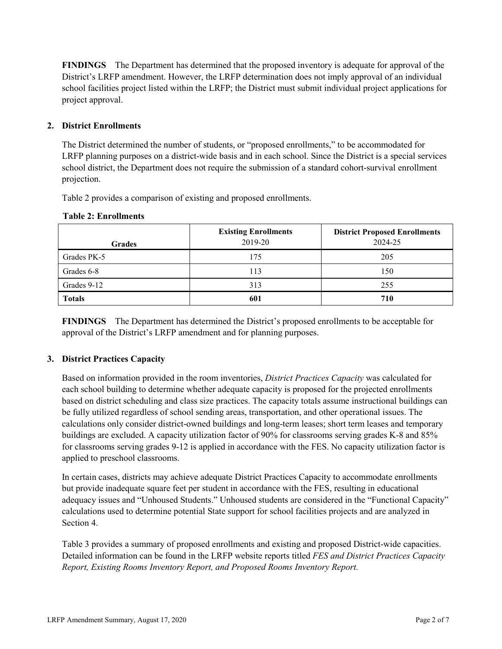**FINDINGS** The Department has determined that the proposed inventory is adequate for approval of the District's LRFP amendment. However, the LRFP determination does not imply approval of an individual school facilities project listed within the LRFP; the District must submit individual project applications for project approval.

### **2. District Enrollments**

The District determined the number of students, or "proposed enrollments," to be accommodated for LRFP planning purposes on a district-wide basis and in each school. Since the District is a special services school district, the Department does not require the submission of a standard cohort-survival enrollment projection.

Table 2 provides a comparison of existing and proposed enrollments.

| Grades        | <b>Existing Enrollments</b><br>2019-20 | <b>District Proposed Enrollments</b><br>2024-25 |
|---------------|----------------------------------------|-------------------------------------------------|
| Grades PK-5   | 175                                    | 205                                             |
| Grades 6-8    | 113                                    | 150                                             |
| Grades 9-12   | 313                                    | 255                                             |
| <b>Totals</b> | 601                                    | 710                                             |

#### **Table 2: Enrollments**

**FINDINGS** The Department has determined the District's proposed enrollments to be acceptable for approval of the District's LRFP amendment and for planning purposes.

## **3. District Practices Capacity**

Based on information provided in the room inventories, *District Practices Capacity* was calculated for each school building to determine whether adequate capacity is proposed for the projected enrollments based on district scheduling and class size practices. The capacity totals assume instructional buildings can be fully utilized regardless of school sending areas, transportation, and other operational issues. The calculations only consider district-owned buildings and long-term leases; short term leases and temporary buildings are excluded. A capacity utilization factor of 90% for classrooms serving grades K-8 and 85% for classrooms serving grades 9-12 is applied in accordance with the FES. No capacity utilization factor is applied to preschool classrooms.

In certain cases, districts may achieve adequate District Practices Capacity to accommodate enrollments but provide inadequate square feet per student in accordance with the FES, resulting in educational adequacy issues and "Unhoused Students." Unhoused students are considered in the "Functional Capacity" calculations used to determine potential State support for school facilities projects and are analyzed in Section 4.

Table 3 provides a summary of proposed enrollments and existing and proposed District-wide capacities. Detailed information can be found in the LRFP website reports titled *FES and District Practices Capacity Report, Existing Rooms Inventory Report, and Proposed Rooms Inventory Report.*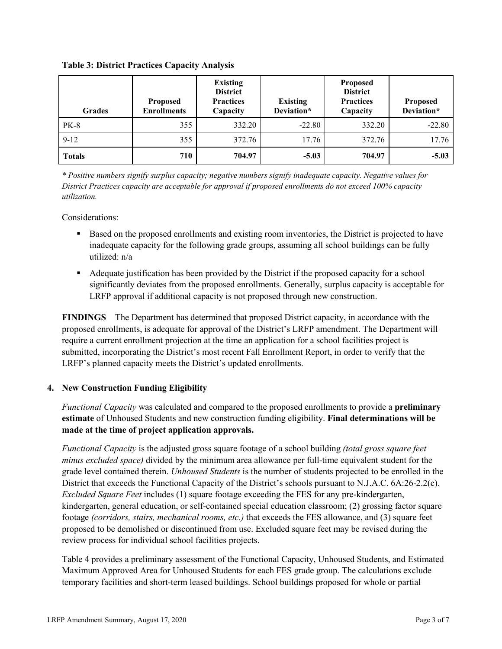| <b>Grades</b> | <b>Proposed</b><br><b>Enrollments</b> | <b>Existing</b><br><b>District</b><br><b>Practices</b><br>Capacity | <b>Existing</b><br>Deviation* | <b>Proposed</b><br><b>District</b><br><b>Practices</b><br>Capacity | <b>Proposed</b><br>Deviation* |
|---------------|---------------------------------------|--------------------------------------------------------------------|-------------------------------|--------------------------------------------------------------------|-------------------------------|
| <b>PK-8</b>   | 355                                   | 332.20                                                             | $-22.80$                      | 332.20                                                             | $-22.80$                      |
| $9 - 12$      | 355                                   | 372.76                                                             | 17.76                         | 372.76                                                             | 17.76                         |
| <b>Totals</b> | 710                                   | 704.97                                                             | $-5.03$                       | 704.97                                                             | $-5.03$                       |

**Table 3: District Practices Capacity Analysis**

*\* Positive numbers signify surplus capacity; negative numbers signify inadequate capacity. Negative values for District Practices capacity are acceptable for approval if proposed enrollments do not exceed 100% capacity utilization.*

Considerations:

- Based on the proposed enrollments and existing room inventories, the District is projected to have inadequate capacity for the following grade groups, assuming all school buildings can be fully utilized: n/a
- Adequate justification has been provided by the District if the proposed capacity for a school significantly deviates from the proposed enrollments. Generally, surplus capacity is acceptable for LRFP approval if additional capacity is not proposed through new construction.

**FINDINGS**The Department has determined that proposed District capacity, in accordance with the proposed enrollments, is adequate for approval of the District's LRFP amendment. The Department will require a current enrollment projection at the time an application for a school facilities project is submitted, incorporating the District's most recent Fall Enrollment Report, in order to verify that the LRFP's planned capacity meets the District's updated enrollments.

## **4. New Construction Funding Eligibility**

*Functional Capacity* was calculated and compared to the proposed enrollments to provide a **preliminary estimate** of Unhoused Students and new construction funding eligibility. **Final determinations will be made at the time of project application approvals.**

*Functional Capacity* is the adjusted gross square footage of a school building *(total gross square feet minus excluded space)* divided by the minimum area allowance per full-time equivalent student for the grade level contained therein. *Unhoused Students* is the number of students projected to be enrolled in the District that exceeds the Functional Capacity of the District's schools pursuant to N.J.A.C. 6A:26-2.2(c). *Excluded Square Feet* includes (1) square footage exceeding the FES for any pre-kindergarten, kindergarten, general education, or self-contained special education classroom; (2) grossing factor square footage *(corridors, stairs, mechanical rooms, etc.)* that exceeds the FES allowance, and (3) square feet proposed to be demolished or discontinued from use. Excluded square feet may be revised during the review process for individual school facilities projects.

Table 4 provides a preliminary assessment of the Functional Capacity, Unhoused Students, and Estimated Maximum Approved Area for Unhoused Students for each FES grade group. The calculations exclude temporary facilities and short-term leased buildings. School buildings proposed for whole or partial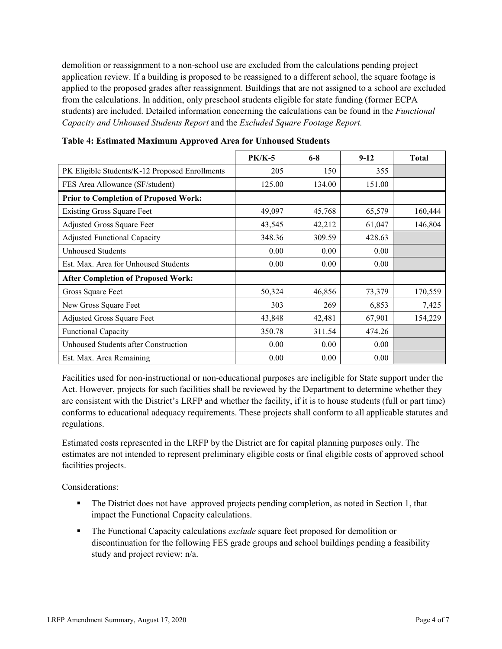demolition or reassignment to a non-school use are excluded from the calculations pending project application review. If a building is proposed to be reassigned to a different school, the square footage is applied to the proposed grades after reassignment. Buildings that are not assigned to a school are excluded from the calculations. In addition, only preschool students eligible for state funding (former ECPA students) are included. Detailed information concerning the calculations can be found in the *Functional Capacity and Unhoused Students Report* and the *Excluded Square Footage Report.*

|                                                | <b>PK/K-5</b> | $6 - 8$ | $9 - 12$ | <b>Total</b> |
|------------------------------------------------|---------------|---------|----------|--------------|
| PK Eligible Students/K-12 Proposed Enrollments | 205           | 150     | 355      |              |
| FES Area Allowance (SF/student)                | 125.00        | 134.00  | 151.00   |              |
| <b>Prior to Completion of Proposed Work:</b>   |               |         |          |              |
| <b>Existing Gross Square Feet</b>              | 49,097        | 45,768  | 65,579   | 160,444      |
| Adjusted Gross Square Feet                     | 43,545        | 42,212  | 61,047   | 146,804      |
| <b>Adjusted Functional Capacity</b>            | 348.36        | 309.59  | 428.63   |              |
| Unhoused Students                              | 0.00          | 0.00    | 0.00     |              |
| Est. Max. Area for Unhoused Students           | 0.00          | 0.00    | 0.00     |              |
| <b>After Completion of Proposed Work:</b>      |               |         |          |              |
| Gross Square Feet                              | 50,324        | 46,856  | 73,379   | 170,559      |
| New Gross Square Feet                          | 303           | 269     | 6,853    | 7,425        |
| Adjusted Gross Square Feet                     | 43,848        | 42,481  | 67,901   | 154,229      |
| <b>Functional Capacity</b>                     | 350.78        | 311.54  | 474.26   |              |
| Unhoused Students after Construction           | 0.00          | 0.00    | 0.00     |              |
| Est. Max. Area Remaining                       | 0.00          | 0.00    | 0.00     |              |

**Table 4: Estimated Maximum Approved Area for Unhoused Students** 

Facilities used for non-instructional or non-educational purposes are ineligible for State support under the Act. However, projects for such facilities shall be reviewed by the Department to determine whether they are consistent with the District's LRFP and whether the facility, if it is to house students (full or part time) conforms to educational adequacy requirements. These projects shall conform to all applicable statutes and regulations.

Estimated costs represented in the LRFP by the District are for capital planning purposes only. The estimates are not intended to represent preliminary eligible costs or final eligible costs of approved school facilities projects.

Considerations:

- The District does not have approved projects pending completion, as noted in Section 1, that impact the Functional Capacity calculations.
- **The Functional Capacity calculations** *exclude* square feet proposed for demolition or discontinuation for the following FES grade groups and school buildings pending a feasibility study and project review: n/a.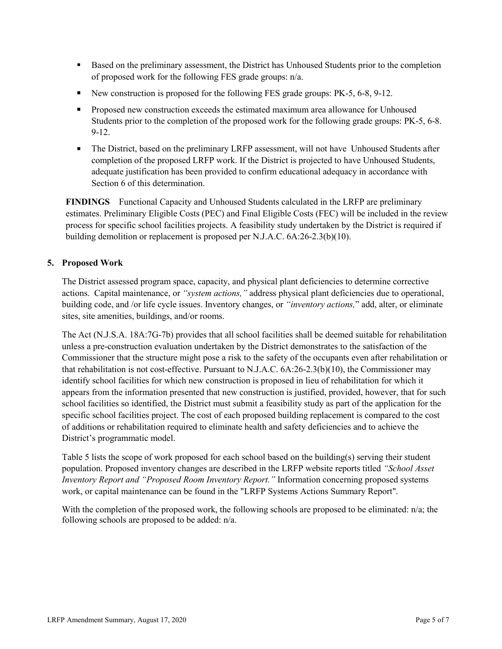- Based on the preliminary assessment, the District has Unhoused Students prior to the completion of proposed work for the following FES grade groups: n/a.
- New construction is proposed for the following FES grade groups: PK-5, 6-8, 9-12.
- **Proposed new construction exceeds the estimated maximum area allowance for Unhoused** Students prior to the completion of the proposed work for the following grade groups: PK-5, 6-8. 9-12.
- The District, based on the preliminary LRFP assessment, will not have Unhoused Students after completion of the proposed LRFP work. If the District is projected to have Unhoused Students, adequate justification has been provided to confirm educational adequacy in accordance with Section 6 of this determination.

**FINDINGS** Functional Capacity and Unhoused Students calculated in the LRFP are preliminary estimates. Preliminary Eligible Costs (PEC) and Final Eligible Costs (FEC) will be included in the review process for specific school facilities projects. A feasibility study undertaken by the District is required if building demolition or replacement is proposed per N.J.A.C. 6A:26-2.3(b)(10).

### **5. Proposed Work**

The District assessed program space, capacity, and physical plant deficiencies to determine corrective actions. Capital maintenance, or *"system actions,"* address physical plant deficiencies due to operational, building code, and /or life cycle issues. Inventory changes, or *"inventory actions,*" add, alter, or eliminate sites, site amenities, buildings, and/or rooms.

The Act (N.J.S.A. 18A:7G-7b) provides that all school facilities shall be deemed suitable for rehabilitation unless a pre-construction evaluation undertaken by the District demonstrates to the satisfaction of the Commissioner that the structure might pose a risk to the safety of the occupants even after rehabilitation or that rehabilitation is not cost-effective. Pursuant to N.J.A.C. 6A:26-2.3(b)(10), the Commissioner may identify school facilities for which new construction is proposed in lieu of rehabilitation for which it appears from the information presented that new construction is justified, provided, however, that for such school facilities so identified, the District must submit a feasibility study as part of the application for the specific school facilities project. The cost of each proposed building replacement is compared to the cost of additions or rehabilitation required to eliminate health and safety deficiencies and to achieve the District's programmatic model.

Table 5 lists the scope of work proposed for each school based on the building(s) serving their student population. Proposed inventory changes are described in the LRFP website reports titled *"School Asset Inventory Report and "Proposed Room Inventory Report."* Information concerning proposed systems work, or capital maintenance can be found in the "LRFP Systems Actions Summary Report".

With the completion of the proposed work, the following schools are proposed to be eliminated: n/a; the following schools are proposed to be added: n/a.